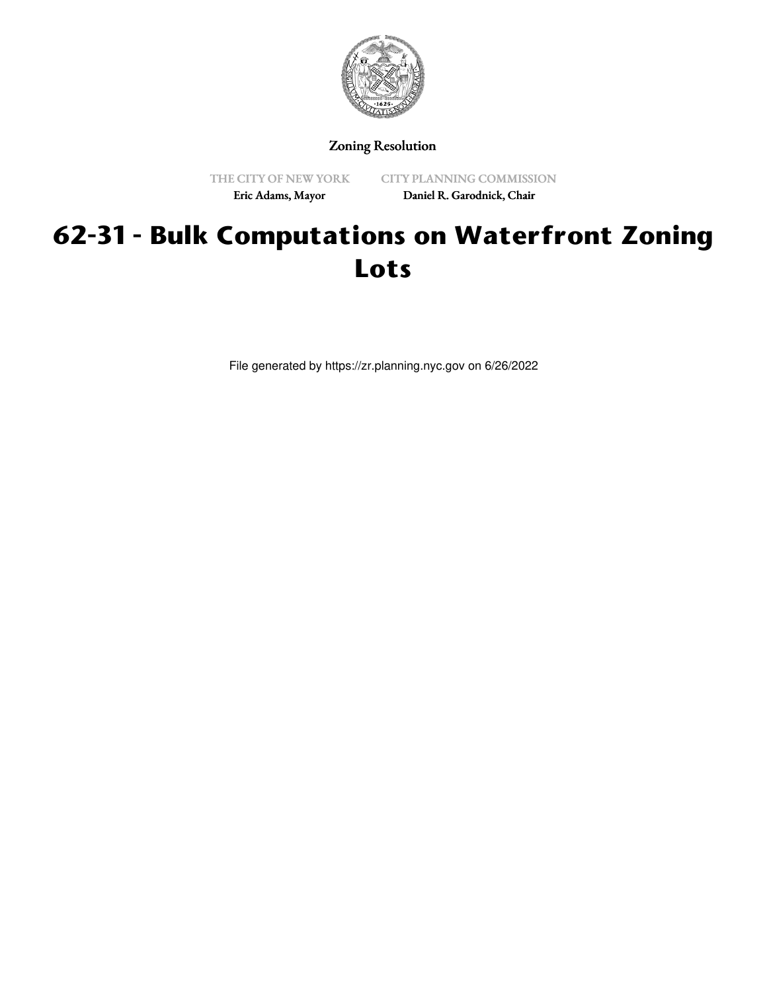

Zoning Resolution

THE CITY OF NEW YORK Eric Adams, Mayor

CITY PLANNING COMMISSION Daniel R. Garodnick, Chair

## **62-31 - Bulk Computations on Waterfront Zoning Lots**

File generated by https://zr.planning.nyc.gov on 6/26/2022